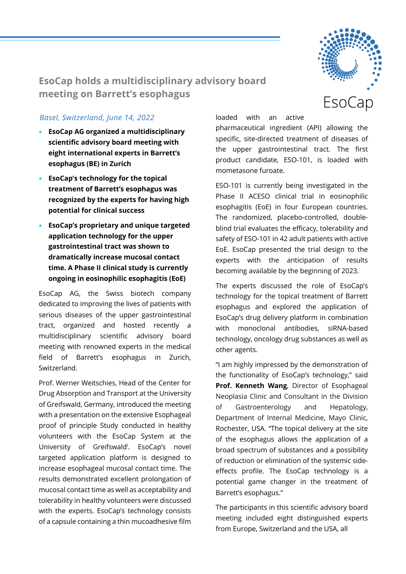

**EsoCap holds a multidisciplinary advisory board meeting on Barrett's esophagus**

## *Basel, Switzerland, June 14, 2022*

- **EsoCap AG organized a multidisciplinary scientific advisory board meeting with eight international experts in Barrett's esophagus (BE) in Zurich**
- **EsoCap's technology for the topical treatment of Barrett's esophagus was recognized by the experts for having high potential for clinical success**
- **EsoCap's proprietary and unique targeted application technology for the upper gastrointestinal tract was shown to dramatically increase mucosal contact time. A Phase II clinical study is currently ongoing in eosinophilic esophagitis (EoE)**

EsoCap AG, the Swiss biotech company dedicated to improving the lives of patients with serious diseases of the upper gastrointestinal tract, organized and hosted recently a multidisciplinary scientific advisory board meeting with renowned experts in the medical field of Barrett's esophagus in Zurich, Switzerland.

Prof. Werner Weitschies, Head of the Center for Drug Absorption and Transport at the University of Greifswald, Germany, introduced the meeting with a presentation on the extensive Esophageal proof of principle Study conducted in healthy volunteers with the EsoCap System at the University of Greifswald<sup>i</sup>. EsoCap's novel targeted application platform is designed to increase esophageal mucosal contact time. The results demonstrated excellent prolongation of mucosal contact time as well as acceptability and tolerability in healthy volunteers were discussed with the experts. EsoCap's technology consists of a capsule containing a thin mucoadhesive film loaded with an active

pharmaceutical ingredient (API) allowing the specific, site-directed treatment of diseases of the upper gastrointestinal tract. The first product candidate, ESO-101, is loaded with mometasone furoate.

ESO-101 is currently being investigated in the Phase II ACESO clinical trial in eosinophilic esophagitis (EoE) in four European countries. The randomized, placebo-controlled, doubleblind trial evaluates the efficacy, tolerability and safety of ESO-101 in 42 adult patients with active EoE. EsoCap presented the trial design to the experts with the anticipation of results becoming available by the beginning of 2023.

The experts discussed the role of EsoCap's technology for the topical treatment of Barrett esophagus and explored the application of EsoCap's drug delivery platform in combination with monoclonal antibodies, siRNA-based technology, oncology drug substances as well as other agents.

"I am highly impressed by the demonstration of the functionality of EsoCap's technology," said **Prof. Kenneth Wang**, Director of Esophageal Neoplasia Clinic and Consultant in the Division of Gastroenterology and Hepatology, Department of Internal Medicine, Mayo Clinic, Rochester, USA. "The topical delivery at the site of the esophagus allows the application of a broad spectrum of substances and a possibility of reduction or elimination of the systemic sideeffects profile. The EsoCap technology is a potential game changer in the treatment of Barrett's esophagus."

The participants in this scientific advisory board meeting included eight distinguished experts from Europe, Switzerland and the USA, all